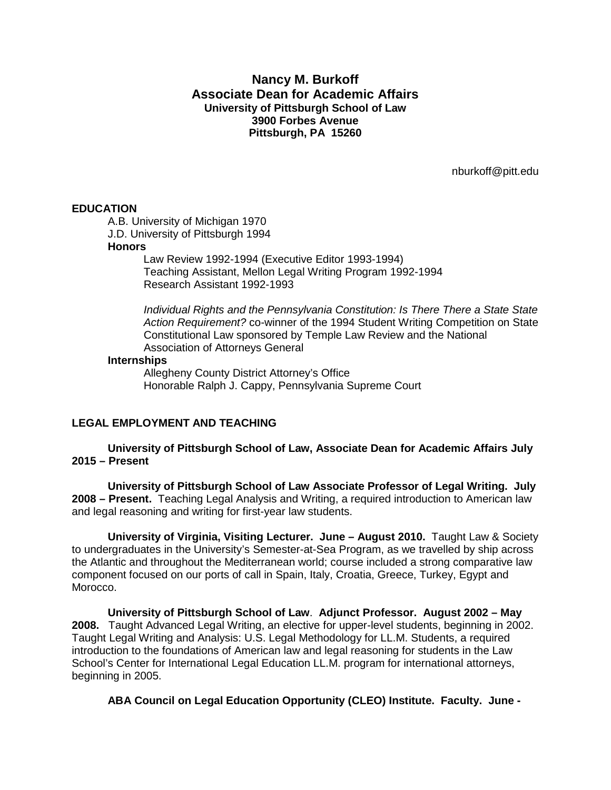# **Nancy M. Burkoff Associate Dean for Academic Affairs University of Pittsburgh School of Law 3900 Forbes Avenue Pittsburgh, PA 15260**

nburkoff@pitt.edu

#### **EDUCATION**

A.B. University of Michigan 1970 J.D. University of Pittsburgh 1994

# **Honors**

Law Review 1992-1994 (Executive Editor 1993-1994) Teaching Assistant, Mellon Legal Writing Program 1992-1994 Research Assistant 1992-1993

*Individual Rights and the Pennsylvania Constitution: Is There There a State State Action Requirement?* co-winner of the 1994 Student Writing Competition on State Constitutional Law sponsored by Temple Law Review and the National Association of Attorneys General

#### **Internships**

Allegheny County District Attorney's Office Honorable Ralph J. Cappy, Pennsylvania Supreme Court

# **LEGAL EMPLOYMENT AND TEACHING**

**University of Pittsburgh School of Law, Associate Dean for Academic Affairs July 2015 – Present**

**University of Pittsburgh School of Law Associate Professor of Legal Writing. July 2008 – Present.** Teaching Legal Analysis and Writing, a required introduction to American law and legal reasoning and writing for first-year law students.

**University of Virginia, Visiting Lecturer. June – August 2010.** Taught Law & Society to undergraduates in the University's Semester-at-Sea Program, as we travelled by ship across the Atlantic and throughout the Mediterranean world; course included a strong comparative law component focused on our ports of call in Spain, Italy, Croatia, Greece, Turkey, Egypt and Morocco.

**University of Pittsburgh School of Law**. **Adjunct Professor. August 2002 – May 2008.** Taught Advanced Legal Writing, an elective for upper-level students, beginning in 2002. Taught Legal Writing and Analysis: U.S. Legal Methodology for LL.M. Students, a required introduction to the foundations of American law and legal reasoning for students in the Law School's Center for International Legal Education LL.M. program for international attorneys, beginning in 2005.

**ABA Council on Legal Education Opportunity (CLEO) Institute. Faculty. June -**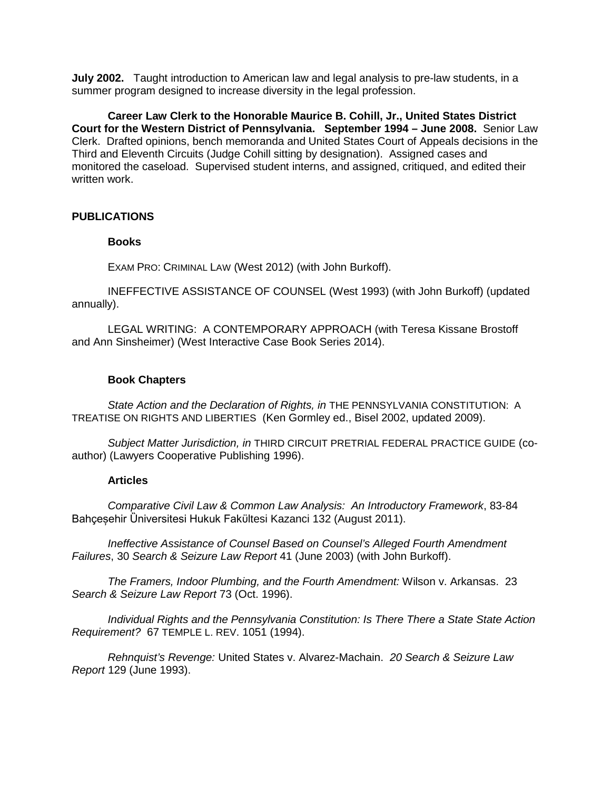**July 2002.** Taught introduction to American law and legal analysis to pre-law students, in a summer program designed to increase diversity in the legal profession.

**Career Law Clerk to the Honorable Maurice B. Cohill, Jr., United States District Court for the Western District of Pennsylvania. September 1994 – June 2008.** Senior Law Clerk. Drafted opinions, bench memoranda and United States Court of Appeals decisions in the Third and Eleventh Circuits (Judge Cohill sitting by designation). Assigned cases and monitored the caseload. Supervised student interns, and assigned, critiqued, and edited their written work.

## **PUBLICATIONS**

## **Books**

EXAM PRO: CRIMINAL LAW (West 2012) (with John Burkoff).

INEFFECTIVE ASSISTANCE OF COUNSEL (West 1993) (with John Burkoff) (updated annually).

LEGAL WRITING: A CONTEMPORARY APPROACH (with Teresa Kissane Brostoff and Ann Sinsheimer) (West Interactive Case Book Series 2014).

#### **Book Chapters**

*State Action and the Declaration of Rights, in* THE PENNSYLVANIA CONSTITUTION: A TREATISE ON RIGHTS AND LIBERTIES (Ken Gormley ed., Bisel 2002, updated 2009).

*Subject Matter Jurisdiction, in* THIRD CIRCUIT PRETRIAL FEDERAL PRACTICE GUIDE (coauthor) (Lawyers Cooperative Publishing 1996).

## **Articles**

*Comparative Civil Law & Common Law Analysis: An Introductory Framework*, 83-84 Bahçesehir Üniversitesi Hukuk Fakültesi Kazanci 132 (August 2011).

*Ineffective Assistance of Counsel Based on Counsel's Alleged Fourth Amendment Failures*, 30 *Search & Seizure Law Report* 41 (June 2003) (with John Burkoff).

*The Framers, Indoor Plumbing, and the Fourth Amendment:* Wilson v. Arkansas. 23 *Search & Seizure Law Report* 73 (Oct. 1996).

*Individual Rights and the Pennsylvania Constitution: Is There There a State State Action Requirement?* 67 TEMPLE L. REV. 1051 (1994).

*Rehnquist's Revenge:* United States v. Alvarez-Machain. *20 Search & Seizure Law Report* 129 (June 1993).